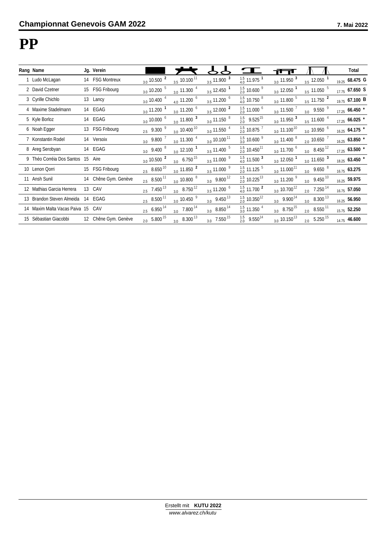#### **PP**

| Rang Name                     |    | Jg. Verein           |                           |                                       |                                         |                                        | ग ग                               |                                      | Total              |
|-------------------------------|----|----------------------|---------------------------|---------------------------------------|-----------------------------------------|----------------------------------------|-----------------------------------|--------------------------------------|--------------------|
| 1 Ludo McLagan                |    | 14 FSG Montreux      | $3.0$ 10.500 $^2$         | $3.5$ 10.100 <sup>11</sup>            | $3.5$ 11.900 $3$                        | $\frac{1.5}{4.0}$ 11.975 <sup>1</sup>  | $3.0$ 11.950 $3$                  | $3.5$ 12.050 $^1$                    | 19.25 68.475 G     |
| 2 David Czetner               |    | 15 FSG Fribourg      | $3.0$ 10.200 $^5$         | $3.0$ 11.300 $^{4}$                   | $3.5$ 12.450 $^1$                       | $\frac{1.5}{2.0}$ 10.600 $^9$          | $3.0$ 12.050 $^1$                 | $3.5$ 11.050 $5$                     | 17.75 67.650 S     |
| 3 Cyrille Chichlo             |    | 13 Lancy             | $3.0$ 10.400 $^{4}$       | $4.0$ 11.200 $^6$                     | $3.5$ 11.200 $^6$                       | $\frac{1.5}{4.0}$ 10.750 $^8$          | $3.0$ 11.800 $^5$                 | $3.5$ 11.750 $^2$                    | 19.75 67.100 B     |
| 4 Maxime Stadelmann           |    | 14 EGAG              | $3.0$ 11.200 <sup>1</sup> | $3.0$ 11.200 $^6$                     | $3.5$ 12.000 $^2$                       | $\frac{1.5}{2.0}$ 11.000 $^6$          | $_{3.0}$ 11.500 $^{7}$            | $3.0\quad 9.550$ <sup>9</sup>        | $17.25$ 66.450 $*$ |
| 5 Kyle Borloz                 |    | 14 EGAG              | $3.0$ 10.000 $^6$         | $_{3.0}$ 11.800 $^3$                  | $3.0$ 11.150 $8$                        | $\frac{1.5}{2.0}$ 9.525 <sup>15</sup>  | $3.0$ 11.950 $3$                  | $3.5$ 11.600 $^{4}$                  | $17.25$ 66.025 $*$ |
| 6 Noah Egger                  | 13 | <b>FSG Fribourg</b>  | $2.5\quad9.300\ ^9$       | $3.0 \times 10.400$ <sup>10</sup>     | $3.0$ 11.550 $^4$                       | $\frac{1.5}{2.0}$ 10.875 $^7$          | $_{3.0}$ 11.100 <sup>10</sup>     | $3.0$ 10.950 $^6$                    | $16.25$ 64.175 $*$ |
| 7 Konstantin Rodel            |    | 14 Versoix           | $3.0$ 9.800 $^7$          | $3.0$ 11.300 $^{4}$                   | $_{3.0}$ 10.100 $^{11}$                 | $\frac{1.5}{3.0}$ 10.600 $^9$          | $3.011.400$ <sup>8</sup>          | $_{2.0}$ 10.650 $^7$                 | $16.25$ 63.850 $*$ |
| 8 Areg Serobyan               |    | 14 EGAG              | $3.0\quad9.400\ ^{8}$     | $_{3.0}$ 12.100 $^1$                  | $3.5$ 11.400 $^5$                       | $^{1.5}_{2.0}$ 10.450 <sup>11</sup>    | $3.0$ 11.700 $^6$                 | $3.0\quad 8.450^{12}$                | $17.25$ 63.500 $*$ |
| 9 Théo Corréia Dos Santos 15  |    | Aire                 | $3.0$ 10.500 $^2$         | $\frac{3.0}{1}$ 6.750 <sup>15</sup>   | $3.5$ 11.000 $9$                        | $\frac{1.5}{4.0}$ 11.500 $^3$          | $_{3.0}$ 12.050 $^1$              | $\frac{3.0}{ }$ 11.650 $\frac{3}{ }$ | 18.25 63.450 *     |
| 10 Lenon Qorri                |    | 15 FSG Fribourg      | $2.5\quad 8.650^{10}$     | $3.0$ 11.850 $^2$                     | $3.5$ 11.000 $9$                        | $\frac{1.5}{2.0}$ 11.125 $^5$          | $_{3.0}$ 11.000 <sup>11</sup>     | $\frac{3.0}{ }$ 9.650 $8$            | $16.75$ 63.275     |
| 11 Ansh Sunil                 |    | 14 Chêne Gym. Genève | $2.5 \quad 8.500^{11}$    | $3.0$ 10.800 $8$                      | $3.0 \quad 9.800^{12}$                  | $^{1.5}_{2.0}$ 10.225 <sup>13</sup>    | $3.0$ 11.200 $9$                  | $3.0\quad 9.450^{10}$                | 16.25 59.975       |
| 12 Mathias Garcia Herrera     |    | 13 CAV               | $2.5$ 7.450 <sup>13</sup> | $\frac{3.0}{3.0}$ 8.750 <sup>12</sup> | $3.5$ 11.200 $^6$                       | $\frac{1.5}{4.0}$ 11.700 <sup>2</sup>  | $3.0 \times 10.700$ <sup>12</sup> | $7.250$ $^{14}$<br>2.0               | 16.75 57.050       |
| 13 Brandon Steven Almeida     |    | 14 EGAG              | $2.5 \quad 8.500^{11}$    | $\frac{3.0}{10.450}$ <sup>9</sup>     | $3.0\quad 9.450^{13}$                   | $\frac{1.5}{2.0}$ 10.350 <sup>12</sup> | $3.0 \quad 9.900^{14}$            | $3.0\quad 8.300^{13}$                | 16.25 56.950       |
| 14 Maxim Malta Vacas Paiva 15 |    | CAV                  | $2.5\quad 6.950^{14}$     | $\frac{3.0}{ }$ 7.800 <sup>14</sup>   | $3.0\quad 8.850^{14}$                   | $\frac{1.5}{3.0}$ 11.350 $^4$          | $3.0\quad 8.750^{15}$             | $2.0\quad 8.550^{11}$                | 15.75 52.250       |
| 15 Sébastian Giacobbi         |    | 12 Chêne Gym. Genève | $2.0\quad 5.800^{15}$     | $\frac{3.0}{ }$ 8.300 <sup>13</sup>   | $\frac{3.0}{1.550}$ 7.550 <sup>15</sup> | $\frac{1.5}{2.0}$ 9.550 <sup>14</sup>  | $_{3.0}$ 10.150 <sup>13</sup>     | $5.250^{15}$<br>2.0                  | 14.75 46.600       |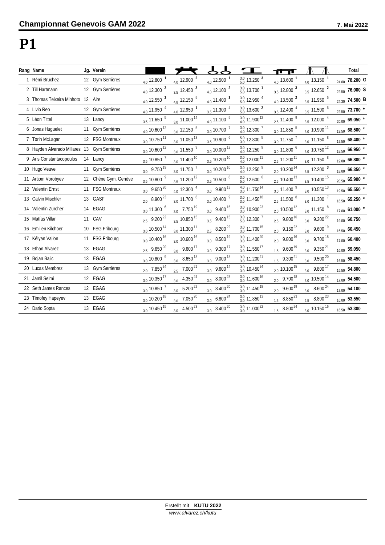### **P1**

| Rang Name                                   | Jg. Verein           |                                       |                                          |                                     |                                        | नन्त                                   |                                     | Total                            |
|---------------------------------------------|----------------------|---------------------------------------|------------------------------------------|-------------------------------------|----------------------------------------|----------------------------------------|-------------------------------------|----------------------------------|
| 1 Rémi Bruchez                              | 12 Gym Serrières     | $_{4.0}$ 12.800 $^{-1}$               | $4.0$ 12.900 $^2$                        | $_{4.0}$ 12.500 $^{-1}$             | $\frac{3.0}{5.0}$ 13.250 $^3$          | $_{4.0}$ 13.600 $^1$                   | $4.0$ 13.150 $1$                    | 24.00 78.200 G                   |
| 2 Till Hartmann                             | 12 Gym Serrières     | $\frac{4.0}{12.300}$ 3                | $\frac{3.5}{12.450}$ 3                   | $\frac{4.0}{12.100}$ 2              | $\frac{3.0}{5.0}$ 13.700 <sup>1</sup>  | $3.5$ 12.800 $^3$                      | $\frac{3.5}{12.650}$ 2              | <sub>22.50</sub> 76.000 S        |
| 3 Thomas Teixeira Minhoto 12 Aire           |                      | $\frac{4.0}{4.0}$ 12.550 $^2$         | $\underline{4.8}$ 12.150 $^5$            | $\frac{4.0}{1.400}$ 11.400 $^3$     | $\frac{3.0}{5.0}$ 12.950 $^4$          | $\frac{4.0}{13.500}$ 2                 | $\frac{3.5}{1.950}$ 11.950 $^5$     | 24.30 74.500 B                   |
| 4 Livio Reo                                 | 12 Gym Serrières     | $4.0$ 11.950 $^{4}$                   | $\frac{4.0}{4.0}$ 12.950 $^1$            | $\frac{3.5}{1.300}$ $^{4}$          | $\frac{3.0}{5.0}$ 13.600 $^2$          | $3.5$ 12.400 $^{4}$                    | $3.5$ 11.500 $^6$                   | 22.50 73.700 *                   |
| 5 Léon Tittel                               | 13 Lancy             | $\frac{3.5}{1.650}$ 5                 | $\frac{3.0}{10}$ 11.000 <sup>14</sup>    | $\frac{4.0}{11.100}$ 5              | $\frac{3.0}{4.0}$ 11.900 <sup>12</sup> | $\frac{2.5}{2.5}$ 11.400 $\frac{9}{5}$ | $3.5$ 12.000 $^{4}$                 | $_{\rm 20.00}$ 69.050 $^{\star}$ |
| 6 Jonas Huguelet                            | 11 Gym Serrières     | $_{4.0}$ 10.600 $^{12}$               | $\frac{3.0}{ }$ 12.150 $\frac{5}{ }$     | $_{3.0}$ 10.700 $^7$                | $\frac{3.0}{4.0}$ 12.300 $^7$          | $3.0$ 11.850 $^5$                      | $_{3.0}$ 10.900 $^{11}$             | 19.50 68.500 *                   |
| 7 Torin McLagan                             | 12 FSG Montreux      | $_{3.0}$ 10.750 $^{11}$               | $\frac{3.0}{11.050}$ 13                  | $3.5$ 10.900 $^6$                   | $\frac{5.0}{3.0}$ 12.800 $^5$          | $3.0$ 11.750 $^7$                      | $3.0$ 11.150 $8$                    | 19.50 68.400 *                   |
| 8 Hayden Alvarado Millares 13 Gym Serrières |                      | $_{3.0}$ 10.600 $^{12}$               | $\frac{3.0}{ }$ 11.550 $\frac{9}{ }$     | $_{3.0}$ 10.000 $^{12}$             | $\frac{3.0}{4.0}$ 12.250 $^9$          | $3.0$ 11.800 $^6$                      | $\frac{3.0}{10.750}$ 12             | $18.50$ 66.950 *                 |
| 9 Aris Constantacopoulos                    | 14 Lancy             | $3.5$ 10.850 $^7$                     | $\frac{3.0}{1.400}$ <sup>10</sup>        | $\frac{3.5}{10.200}$ 10             | $\frac{3.0}{4.0}$ 12.000 <sup>11</sup> | $\frac{2.5}{1.200}$ <sup>11</sup>      | $\frac{3.0}{ }$ 11.150 $8$          | 19.00 66.800 *                   |
| 10 Hugo Veuve                               | 11 Gym Serrières     | $3.0 \quad 9.750^{19}$                | $\frac{3.0}{1.750}$ 11.750 $^7$          | $_{3.0}$ 10.200 $^{10}$             | $\frac{3.0}{4.0}$ 12.250 $^9$          | $\frac{2.0}{2}$ 10.200 <sup>14</sup>   | $\frac{3.5}{12.200}$ 3              | 18.00 66.350 *                   |
| 11 Artiom Vorobyev                          | 12 Chêne Gym. Genève | $3.5$ 10.800 $9$                      | $\frac{3.5}{1.200}$ 11.200 <sup>12</sup> | $\frac{3.5}{10.500}$ 8              | $\frac{3.0}{5.0}$ 12.600 $^6$          | $\frac{2.5}{10.400}$ <sup>13</sup>     | $\frac{3.5}{10.400}$ 15             | $_{\rm 20.50}$ 65.900 $^{\star}$ |
| 12 Valentin Ernst                           | 11 FSG Montreux      | $3.0 \quad 9.650^{20}$                | $4.0$ 12.300 $^{4}$                      | $\frac{3.0}{1}$ 9.900 <sup>13</sup> | $\frac{4.0}{3.0}$ 11.750 <sup>14</sup> | $\frac{3.0}{ }$ 11.400 $\frac{9}{ }$   | $\frac{3.0}{10.550}$ 13             | $19.50$ 65.550 $*$               |
| 13 Calvin Mischler                          | 13 GASF              | $2.0\quad 8.900^{23}$                 | $\frac{3.0}{1.700}$ 11.700 $8$           | $3.0$ 10.400 $9$                    | $\frac{3.0}{3.0}$ 11.450 <sup>18</sup> | $2.5$ 11.500 $8$                       | $\frac{3.0}{ }$ 11.300 $^7$         | $16.50$ 65.250 $*$               |
| 14 Valentin Zürcher                         | 14 EGAG              | $3.0$ 11.300 $^6$                     | $\frac{3.0}{ }$ 7.750 <sup>19</sup>      | $\frac{3.0}{ }$ 9.400 <sup>15</sup> | $\frac{3.0}{3.0}$ 10.900 <sup>23</sup> | $_{2.0}$ 10.500 <sup>12</sup>          | $\frac{3.0}{ }$ 11.150 $8$          | 17.00 61.000 *                   |
| 15 Matías Villar                            | 11 CAV               | $2.5$ 9.200 <sup>22</sup>             | $\frac{3.5}{10.850}$ 15                  | $\frac{3.5}{ }$ 9.400 <sup>15</sup> | $\frac{3.0}{5.0}$ 12.300 $^7$          | $2.5$ 9.800 <sup>16</sup>              | $\frac{3.0}{ }$ 9.200 <sup>22</sup> | 19.00 60.750                     |
| 16 Emilien Kilchoer                         | 10 FSG Fribourg      | $_{3.0}$ 10.500 $^{14}$               | $\frac{3.0}{1.300}$ 11.300 <sup>11</sup> | $2.5$ 8.200 <sup>22</sup>           | $\frac{3.0}{3.0}$ 11.700 <sup>15</sup> | $2.0$ 9.150 <sup>22</sup>              | $\frac{3.0}{ }$ 9.600 <sup>19</sup> | 16.50 60.450                     |
| 17 Kélyan Vallon                            | 11 FSG Fribourg      | $_{3.0}$ 10.400 $^{16}$               | $\frac{3.0}{ }$ 10.600 <sup>16</sup>     | $\frac{3.0}{ }$ 8.500 <sup>19</sup> | $\frac{3.0}{3.0}$ 11.400 <sup>20</sup> | $\frac{2.0}{2}$ 9.800 <sup>16</sup>    | $\frac{3.0}{ }$ 9.700 <sup>18</sup> | 17.00 60.400                     |
| 18 Ethan Alvarez                            | 13 EGAG              | $\frac{2.5}{2.5}$ 9.650 <sup>20</sup> | $\frac{3.0}{ }$ 9.600 <sup>17</sup>      | $\frac{3.0}{ }$ 9.300 <sup>17</sup> | $\frac{3.0}{3.0}$ 11.550 <sup>17</sup> | $9.600^{19}$<br>1.5                    | $\frac{3.0}{ }$ 9.350 <sup>21</sup> | 16.00 59.050                     |
| 19 Bojan Bajic                              | 13 EGAG              | $\frac{3.0}{10.800}$ <sup>9</sup>     | $\frac{3.0}{3.0}$ 8.650 <sup>18</sup>    | $\frac{3.0}{}$ 9.000 <sup>18</sup>  | $\frac{3.0}{3.0}$ 11.200 <sup>21</sup> | $1.5$ 9.300 <sup>21</sup>              | $\frac{3.0}{ }$ 9.500 <sup>20</sup> | 16.50 58.450                     |
| 20 Lucas Membrez                            | 13 Gym Serrières     | $\frac{2.0}{2.0}$ 7.850 <sup>24</sup> | $\frac{2.5}{2.5}$ 7.000 <sup>21</sup>    | $\frac{3.0}{ }$ 9.600 <sup>14</sup> | $\frac{3.0}{3.0}$ 10.450 <sup>24</sup> | $\frac{2.0}{2}$ 10.100 <sup>15</sup>   | $\frac{3.0}{ }$ 9.800 <sup>17</sup> | 15.50 54.800                     |
| 21 Jamil Selmi                              | 12 EGAG              | $_{3.0}$ 10.350 $^{17}$               | $\frac{3.0}{ }$ 4.350 <sup>24</sup>      | $3.0\, 8.000^{23}$                  | $\frac{3.0}{3.0}$ 11.600 <sup>16</sup> | $2.0\quad 9.700^{18}$                  | $\frac{3.0}{10.500}$ 14             | 17.00 54.500                     |
| 22 Seth James Rances                        | 12 EGAG              | $_{3.0}$ 10.850 $^7$                  | $5.200^{22}$<br>3.0                      | $3.0\quad 8.400^{20}$               | $\frac{3.0}{3.0}$ 11.450 <sup>18</sup> | $9.600^{19}$<br>2.0                    | $3.0\quad 8.600^{24}$               | 17.00 54.100                     |
| 23 Timofey Hapeyev                          | 13 EGAG              | $\frac{3.0}{10.200}$ <sup>18</sup>    | $7.050^{20}$<br>3.0                      | $3.0\quad 6.800^{24}$               | $\frac{3.0}{3.0}$ 11.850 <sup>13</sup> | $1.5 \quad 8.850^{23}$                 | $2.5$ 8.800 $^{23}$                 | 16.00 53.550                     |
| 24 Dario Sopta                              | 13 EGAG              | $3.010.450$ <sup>15</sup>             | $4.500^{23}$<br>3.0                      | $3.0$ 8.400 <sup>20</sup>           | $\frac{3.0}{3.0}$ 11.000 <sup>22</sup> | $1.5 \quad 8.800^{24}$                 | $3.0$ 10.150 $^{16}$                | 16.50 53.300                     |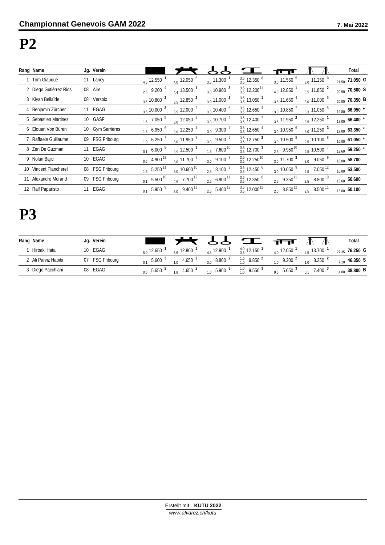#### **P2**

| Rang Name              |    | Jg. Verein          |     |                               |                                       |                           |                                        |                          |                                          | Total                        |
|------------------------|----|---------------------|-----|-------------------------------|---------------------------------------|---------------------------|----------------------------------------|--------------------------|------------------------------------------|------------------------------|
| 1 Tom Giauque          |    | 11 Lancy            |     | $4.5$ 12.550 $^1$             | $4.0$ 12.050 $^5$                     | $3.5$ 11.300 <sup>1</sup> | $\frac{3.5}{3.5}$ 12.350 $8$           | $3.011.550$ <sup>5</sup> | $\frac{3.0}{1.250}$ 11.250 $\frac{3}{1}$ | 21.50 71.050 G               |
| 2 Diego Gutiérrez Rios |    | 08 Aire             |     | $2.5\quad9.200\ ^4$           | $4.4$ 13.500 $^1$                     | $_{3.0}$ 10.900 $^3$      | $\frac{3.5}{3.5}$ 12.200 <sup>11</sup> | $_{4.0}$ 12.850 $^1$     | $3.5$ 11.850 $^2$                        | $_{20.90}$ 70.500 S          |
| 3 Kiyan Bellaïde       | 08 | Versoix             |     | $3.5$ 10.800 $^2$             | $3.5$ 12.850 $^2$                     | $_{3.0}$ 11.000 $^2$      | $\frac{3.5}{3.5}$ 13.050 <sup>1</sup>  | $3.5$ 11.650 $^{4}$      | $3.0$ 11.000 $^6$                        | $_{20.00}$ 70.350 B          |
| 4 Benjamin Zürcher     |    | 11 EGAG             |     | $3.5$ 10.000 $3$              | $3.5$ 12.000 $^7$                     | $_{3.0}$ 10.400 $^5$      | $\frac{3.5}{3.5}$ 12.650 $^4$          | $3.0$ 10.850 $^{7}$      | $3.3 \, 11.050$ $^5$                     | $_{19.80}$ 66.950 $^{\star}$ |
| 5 Sebastien Martinez   |    | 10 GASF             |     | $1.5$ 7.050 $^5$              | $3.0$ 12.050 $^5$                     | $3.0$ 10.700 $^4$         | $\frac{3.5}{3.5}$ 12.400 $^7$          | $3.5$ 11.950 $^2$        | $3.5$ 12.250 $^1$                        | $_{18.00}$ 66.400 $^{\star}$ |
| 6 Elouan Von Büren     |    | 10 Gym Serrières    |     | $1.5\ 6.950\ ^{6}$            | $3.0$ 12.250 $^4$                     | $3.0$ 9.300 $^7$          | $\frac{3.5}{3.5}$ 12.650 $^4$          | $3.0$ 10.950 $^6$        | $3.0$ 11.250 $3$                         | $17.00$ 63.350 $*$           |
| 7 Raffaele Guillaume   |    | 09 FSG Fribourg     |     | $1.0\, 6.250$ <sup>7</sup>    | $3.0$ 11.950 $8$                      | $3.0\quad9.500\ ^6$       | $\frac{3.5}{3.5}$ 12.750 <sup>2</sup>  | $_{3.0}$ 10.500 $^8$     | $_{2.5}$ 10.100 $^8$                     | $_{16.00}$ 61.050 $^{\star}$ |
| 8 Zen De Guzman        |    | 11 EGAG             |     | $0.1\quad 6.000\quad 8$       | $3.5$ 12.500 $^3$                     | $1.5$ 7.600 $^{10}$       | $\frac{3.5}{3.5}$ 12.700 $^3$          | $2.5 \quad 9.950^{10}$   | $_{2.5}$ 10.500 $^7$                     | $_{13.60}$ 59.250 $^{\star}$ |
| 9 Nolan Bajic          |    | 10 EGAG             |     | $0.5 \quad 4.900^{12}$        | $3.0$ 11.700 $9$                      | $3.0\quad9.100\ ^{8}$     | $\frac{3.5}{3.5}$ 12.250 <sup>10</sup> | $\frac{3.0}{11.700}$ 3   | $3.0\quad 9.050$ <sup>9</sup>            | 16.00 58.700                 |
| 10 Vincent Plancherel  | 08 | <b>FSG Fribourg</b> |     | $1.5\quad 5.250^{11}$         | $_{3.0}$ 10.600 $^{10}$               | $2.5\quad 8.100 \quad ^9$ | $\frac{3.5}{3.5}$ 12.450 $^6$          | $_{3.0}$ 10.050 $^{9}$   | $7.050$ <sup>12</sup><br>2.5             | 16.00 53.500                 |
| 11 Alexandre Morand    | 09 | <b>FSG Fribourg</b> | 0.1 | $5.500^{10}$                  | $\frac{2.5}{2.5}$ 7.700 <sup>12</sup> | $2.5\quad 6.900^{11}$     | $\frac{3.5}{3.5}$ 12.350 $^8$          | $2.5 \quad 9.350^{11}$   | $2.5\quad 8.800^{10}$                    | <sub>13.60</sub> 50.600      |
| 12 Ralf Paparisto      | 11 | EGAG                |     | $0.1\quad 5.950$ <sup>9</sup> | $3.0\quad 9.400^{11}$                 | $2.5\quad 5.400^{12}$     | $\frac{3.5}{3.5}$ 12.000 <sup>12</sup> | $2.0\quad 8.850^{12}$    | $2.5 \quad 8.500^{11}$                   | 13.60 50.100                 |

## **P3**

| Rang Name           | Jg. Verein          |                                              |                                                      |                                                                       | Total             |
|---------------------|---------------------|----------------------------------------------|------------------------------------------------------|-----------------------------------------------------------------------|-------------------|
| Hiroaki Hata        | 10 EGAG             | 12.800<br>$_{5.0}$ 12.650                    | $\frac{4.0}{3.5}$ 12.150 <sup>1</sup><br>$45$ 12.900 | $45$ 13.700 $'$<br>$40^{12.050}$                                      | 76.250 G<br>27.35 |
| 2 Ali Parviz Habibi | <b>FSG Fribourg</b> | 4.650 $^{\prime}$<br>5.600<br>1 <sub>0</sub> | $\frac{1.0}{1.0}$ 9.850 $^2$<br>$3.0\quad 8.800$     | $9.200$ $^2$<br>1 <sub>0</sub><br>10                                  | 46.350 S<br>7 1 0 |
| 3 Diego Pacchiani   | 08 EGAG             | 4.650 $^{\prime}$<br>5.650<br>0.5            | $\frac{1.0}{1.0}$ 9.550 $^3$<br>$10^{5.900}$ 3       | $5.650$ <sup>3</sup><br>$7.400$ <sup>3</sup><br>0 <sub>1</sub><br>0.5 | $4.60$ 38.800 B   |